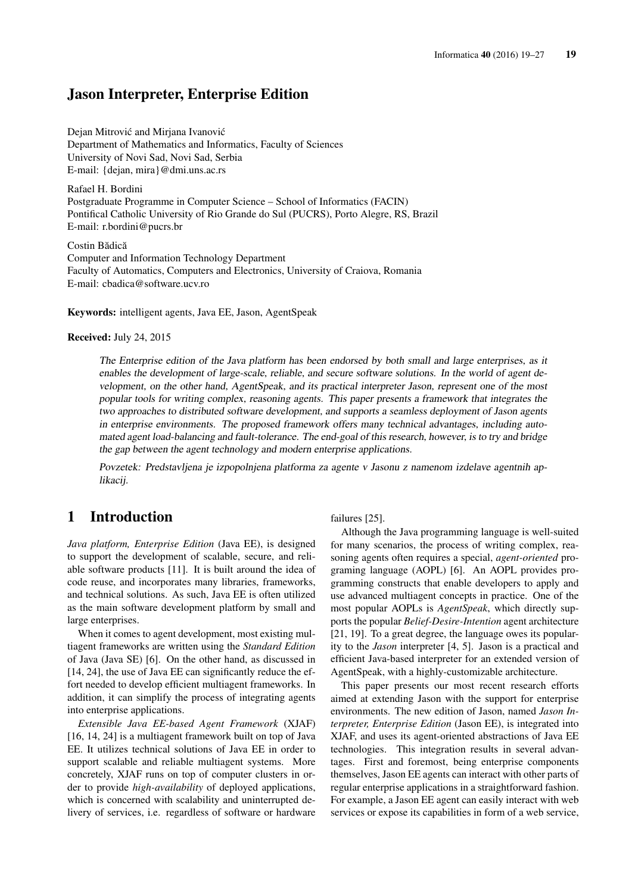## Jason Interpreter, Enterprise Edition

Dejan Mitrović and Mirjana Ivanović Department of Mathematics and Informatics, Faculty of Sciences University of Novi Sad, Novi Sad, Serbia E-mail: {dejan, mira}@dmi.uns.ac.rs

Rafael H. Bordini Postgraduate Programme in Computer Science – School of Informatics (FACIN) Pontifical Catholic University of Rio Grande do Sul (PUCRS), Porto Alegre, RS, Brazil E-mail: r.bordini@pucrs.br

Costin Bădică Computer and Information Technology Department Faculty of Automatics, Computers and Electronics, University of Craiova, Romania E-mail: cbadica@software.ucv.ro

Keywords: intelligent agents, Java EE, Jason, AgentSpeak

Received: July 24, 2015

The Enterprise edition of the Java platform has been endorsed by both small and large enterprises, as it enables the development of large-scale, reliable, and secure software solutions. In the world of agent development, on the other hand, AgentSpeak, and its practical interpreter Jason, represent one of the most popular tools for writing complex, reasoning agents. This paper presents a framework that integrates the two approaches to distributed software development, and supports a seamless deployment of Jason agents in enterprise environments. The proposed framework offers many technical advantages, including automated agent load-balancing and fault-tolerance. The end-goal of this research, however, is to try and bridge the gap between the agent technology and modern enterprise applications.

Povzetek: Predstavljena je izpopolnjena platforma za agente v Jasonu z namenom izdelave agentnih aplikacij.

# 1 Introduction

*Java platform, Enterprise Edition* (Java EE), is designed to support the development of scalable, secure, and reliable software products [11]. It is built around the idea of code reuse, and incorporates many libraries, frameworks, and technical solutions. As such, Java EE is often utilized as the main software development platform by small and large enterprises.

When it comes to agent development, most existing multiagent frameworks are written using the *Standard Edition* of Java (Java SE) [6]. On the other hand, as discussed in [14, 24], the use of Java EE can significantly reduce the effort needed to develop efficient multiagent frameworks. In addition, it can simplify the process of integrating agents into enterprise applications.

*Extensible Java EE-based Agent Framework* (XJAF) [16, 14, 24] is a multiagent framework built on top of Java EE. It utilizes technical solutions of Java EE in order to support scalable and reliable multiagent systems. More concretely, XJAF runs on top of computer clusters in order to provide *high-availability* of deployed applications, which is concerned with scalability and uninterrupted delivery of services, i.e. regardless of software or hardware failures [25].

Although the Java programming language is well-suited for many scenarios, the process of writing complex, reasoning agents often requires a special, *agent-oriented* programing language (AOPL) [6]. An AOPL provides programming constructs that enable developers to apply and use advanced multiagent concepts in practice. One of the most popular AOPLs is *AgentSpeak*, which directly supports the popular *Belief-Desire-Intention* agent architecture [21, 19]. To a great degree, the language owes its popularity to the *Jason* interpreter [4, 5]. Jason is a practical and efficient Java-based interpreter for an extended version of AgentSpeak, with a highly-customizable architecture.

This paper presents our most recent research efforts aimed at extending Jason with the support for enterprise environments. The new edition of Jason, named *Jason Interpreter, Enterprise Edition* (Jason EE), is integrated into XJAF, and uses its agent-oriented abstractions of Java EE technologies. This integration results in several advantages. First and foremost, being enterprise components themselves, Jason EE agents can interact with other parts of regular enterprise applications in a straightforward fashion. For example, a Jason EE agent can easily interact with web services or expose its capabilities in form of a web service,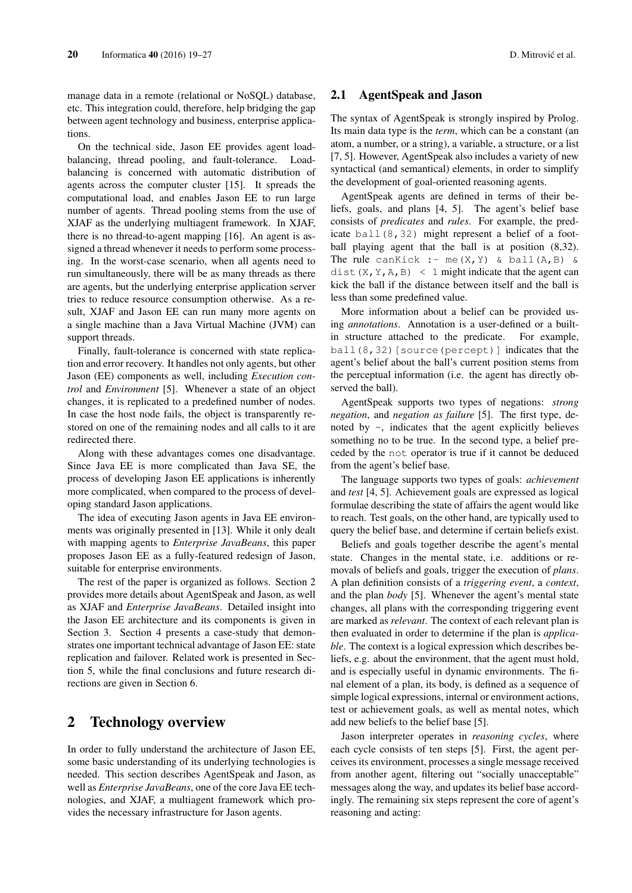manage data in a remote (relational or NoSOL) database. etc. This integration could, therefore, help bridging the gap between agent technology and business, enterprise applications.

On the technical side, Jason EE provides agent loadbalancing, thread pooling, and fault-tolerance. Loadbalancing is concerned with automatic distribution of agents across the computer cluster [15]. It spreads the computational load, and enables Jason EE to run large number of agents. Thread pooling stems from the use of XJAF as the underlying multiagent framework. In XJAF, there is no thread-to-agent mapping [16]. An agent is assigned a thread whenever it needs to perform some processing. In the worst-case scenario, when all agents need to run simultaneously, there will be as many threads as there are agents, but the underlying enterprise application server tries to reduce resource consumption otherwise. As a result, XJAF and Jason EE can run many more agents on a single machine than a Java Virtual Machine (JVM) can support threads.

Finally, fault-tolerance is concerned with state replication and error recovery. It handles not only agents, but other Jason (EE) components as well, including *Execution control* and *Environment* [5]. Whenever a state of an object changes, it is replicated to a predefined number of nodes. In case the host node fails, the object is transparently restored on one of the remaining nodes and all calls to it are redirected there.

Along with these advantages comes one disadvantage. Since Java EE is more complicated than Java SE, the process of developing Jason EE applications is inherently more complicated, when compared to the process of developing standard Jason applications.

The idea of executing Jason agents in Java EE environments was originally presented in [13]. While it only dealt with mapping agents to *Enterprise JavaBeans*, this paper proposes Jason EE as a fully-featured redesign of Jason, suitable for enterprise environments.

The rest of the paper is organized as follows. Section 2 provides more details about AgentSpeak and Jason, as well as XJAF and *Enterprise JavaBeans*. Detailed insight into the Jason EE architecture and its components is given in Section 3. Section 4 presents a case-study that demonstrates one important technical advantage of Jason EE: state replication and failover. Related work is presented in Section 5, while the final conclusions and future research directions are given in Section 6.

### 2 Technology overview

In order to fully understand the architecture of Jason EE, some basic understanding of its underlying technologies is needed. This section describes AgentSpeak and Jason, as well as *Enterprise JavaBeans*, one of the core Java EE technologies, and XJAF, a multiagent framework which provides the necessary infrastructure for Jason agents.

#### 2.1 AgentSpeak and Jason

The syntax of AgentSpeak is strongly inspired by Prolog. Its main data type is the *term*, which can be a constant (an atom, a number, or a string), a variable, a structure, or a list [7, 5]. However, AgentSpeak also includes a variety of new syntactical (and semantical) elements, in order to simplify the development of goal-oriented reasoning agents.

AgentSpeak agents are defined in terms of their beliefs, goals, and plans [4, 5]. The agent's belief base consists of *predicates* and *rules*. For example, the predicate ball(8,32) might represent a belief of a football playing agent that the ball is at position  $(8,32)$ . The rule canKick :- me(X, Y) & ball(A, B) & dist(X, Y, A, B) < 1 might indicate that the agent can kick the ball if the distance between itself and the ball is less than some predefined value.

More information about a belief can be provided using *annotations*. Annotation is a user-defined or a builtin structure attached to the predicate. For example, ball(8,32)[source(percept)] indicates that the agent's belief about the ball's current position stems from the perceptual information (i.e. the agent has directly observed the ball).

AgentSpeak supports two types of negations: *strong negation*, and *negation as failure* [5]. The first type, denoted by  $\sim$ , indicates that the agent explicitly believes something no to be true. In the second type, a belief preceded by the not operator is true if it cannot be deduced from the agent's belief base.

The language supports two types of goals: *achievement* and *test* [4, 5]. Achievement goals are expressed as logical formulae describing the state of affairs the agent would like to reach. Test goals, on the other hand, are typically used to query the belief base, and determine if certain beliefs exist.

Beliefs and goals together describe the agent's mental state. Changes in the mental state, i.e. additions or removals of beliefs and goals, trigger the execution of *plans*. A plan definition consists of a *triggering event*, a *context*, and the plan *body* [5]. Whenever the agent's mental state changes, all plans with the corresponding triggering event are marked as *relevant*. The context of each relevant plan is then evaluated in order to determine if the plan is *applicable*. The context is a logical expression which describes beliefs, e.g. about the environment, that the agent must hold, and is especially useful in dynamic environments. The final element of a plan, its body, is defined as a sequence of simple logical expressions, internal or environment actions, test or achievement goals, as well as mental notes, which add new beliefs to the belief base [5].

Jason interpreter operates in *reasoning cycles*, where each cycle consists of ten steps [5]. First, the agent perceives its environment, processes a single message received from another agent, filtering out "socially unacceptable" messages along the way, and updates its belief base accordingly. The remaining six steps represent the core of agent's reasoning and acting: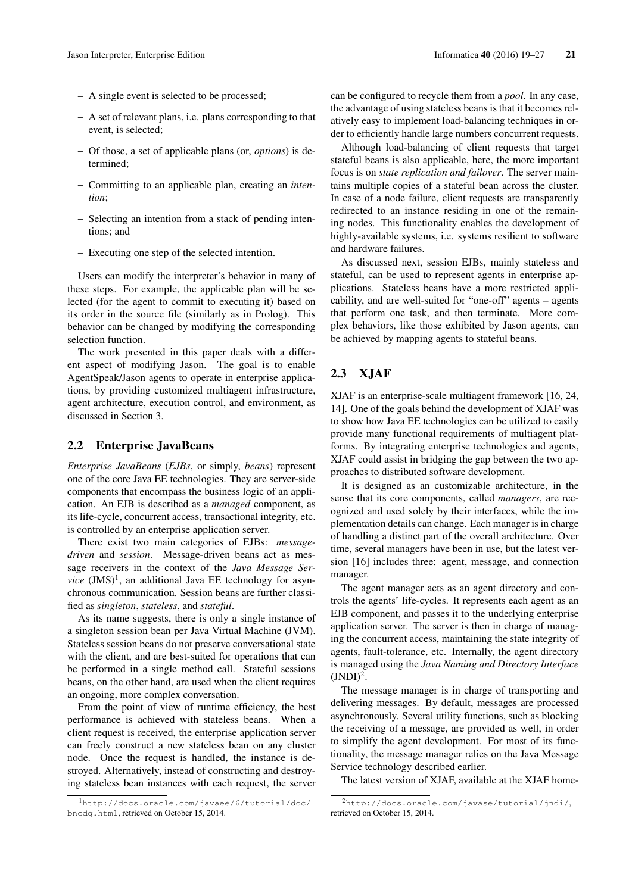- A single event is selected to be processed;
- A set of relevant plans, i.e. plans corresponding to that event, is selected;
- Of those, a set of applicable plans (or, *options*) is determined;
- Committing to an applicable plan, creating an *intention*;
- Selecting an intention from a stack of pending intentions; and
- Executing one step of the selected intention.

Users can modify the interpreter's behavior in many of these steps. For example, the applicable plan will be selected (for the agent to commit to executing it) based on its order in the source file (similarly as in Prolog). This behavior can be changed by modifying the corresponding selection function.

The work presented in this paper deals with a different aspect of modifying Jason. The goal is to enable AgentSpeak/Jason agents to operate in enterprise applications, by providing customized multiagent infrastructure, agent architecture, execution control, and environment, as discussed in Section 3.

#### 2.2 Enterprise JavaBeans

*Enterprise JavaBeans* (*EJBs*, or simply, *beans*) represent one of the core Java EE technologies. They are server-side components that encompass the business logic of an application. An EJB is described as a *managed* component, as its life-cycle, concurrent access, transactional integrity, etc. is controlled by an enterprise application server.

There exist two main categories of EJBs: *messagedriven* and *session*. Message-driven beans act as message receivers in the context of the *Java Message Ser* $vice$   $(JMS)^1$ , an additional Java EE technology for asynchronous communication. Session beans are further classified as *singleton*, *stateless*, and *stateful*.

As its name suggests, there is only a single instance of a singleton session bean per Java Virtual Machine (JVM). Stateless session beans do not preserve conversational state with the client, and are best-suited for operations that can be performed in a single method call. Stateful sessions beans, on the other hand, are used when the client requires an ongoing, more complex conversation.

From the point of view of runtime efficiency, the best performance is achieved with stateless beans. When a client request is received, the enterprise application server can freely construct a new stateless bean on any cluster node. Once the request is handled, the instance is destroyed. Alternatively, instead of constructing and destroying stateless bean instances with each request, the server can be configured to recycle them from a *pool*. In any case, the advantage of using stateless beans is that it becomes relatively easy to implement load-balancing techniques in order to efficiently handle large numbers concurrent requests.

Although load-balancing of client requests that target stateful beans is also applicable, here, the more important focus is on *state replication and failover*. The server maintains multiple copies of a stateful bean across the cluster. In case of a node failure, client requests are transparently redirected to an instance residing in one of the remaining nodes. This functionality enables the development of highly-available systems, i.e. systems resilient to software and hardware failures.

As discussed next, session EJBs, mainly stateless and stateful, can be used to represent agents in enterprise applications. Stateless beans have a more restricted applicability, and are well-suited for "one-off" agents – agents that perform one task, and then terminate. More complex behaviors, like those exhibited by Jason agents, can be achieved by mapping agents to stateful beans.

### 2.3 XJAF

XJAF is an enterprise-scale multiagent framework [16, 24, 14]. One of the goals behind the development of XJAF was to show how Java EE technologies can be utilized to easily provide many functional requirements of multiagent platforms. By integrating enterprise technologies and agents, XJAF could assist in bridging the gap between the two approaches to distributed software development.

It is designed as an customizable architecture, in the sense that its core components, called *managers*, are recognized and used solely by their interfaces, while the implementation details can change. Each manager is in charge of handling a distinct part of the overall architecture. Over time, several managers have been in use, but the latest version [16] includes three: agent, message, and connection manager.

The agent manager acts as an agent directory and controls the agents' life-cycles. It represents each agent as an EJB component, and passes it to the underlying enterprise application server. The server is then in charge of managing the concurrent access, maintaining the state integrity of agents, fault-tolerance, etc. Internally, the agent directory is managed using the *Java Naming and Directory Interface*  $(NDI)^2$ .

The message manager is in charge of transporting and delivering messages. By default, messages are processed asynchronously. Several utility functions, such as blocking the receiving of a message, are provided as well, in order to simplify the agent development. For most of its functionality, the message manager relies on the Java Message Service technology described earlier.

The latest version of XJAF, available at the XJAF home-

<sup>1</sup>http://docs.oracle.com/javaee/6/tutorial/doc/ bncdq.html, retrieved on October 15, 2014.

<sup>2</sup>http://docs.oracle.com/javase/tutorial/jndi/, retrieved on October 15, 2014.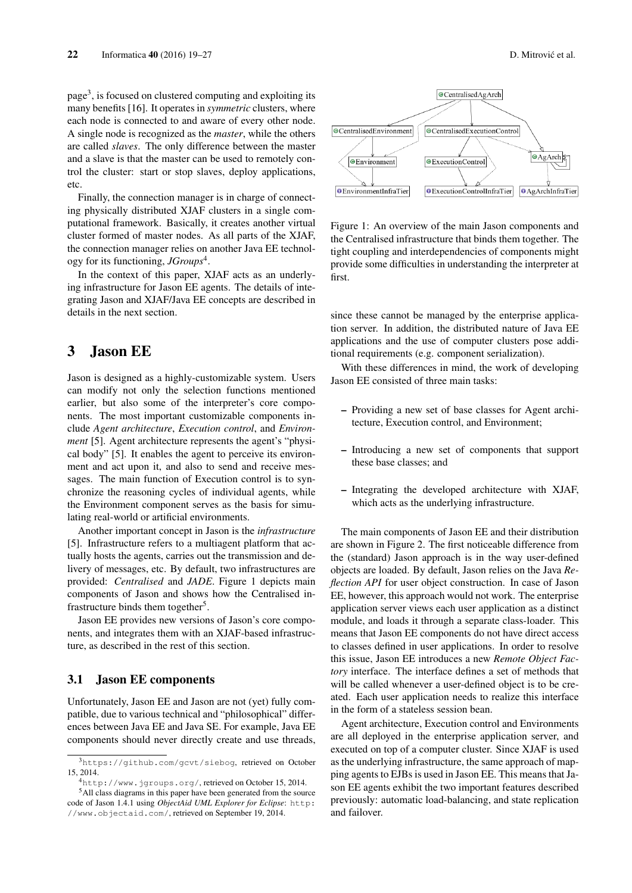page<sup>3</sup>, is focused on clustered computing and exploiting its many benefits [16]. It operates in *symmetric* clusters, where each node is connected to and aware of every other node. A single node is recognized as the *master*, while the others are called *slaves*. The only difference between the master and a slave is that the master can be used to remotely control the cluster: start or stop slaves, deploy applications, etc.

Finally, the connection manager is in charge of connecting physically distributed XJAF clusters in a single computational framework. Basically, it creates another virtual cluster formed of master nodes. As all parts of the XJAF, the connection manager relies on another Java EE technology for its functioning, *JGroups*<sup>4</sup> .

In the context of this paper, XJAF acts as an underlying infrastructure for Jason EE agents. The details of integrating Jason and XJAF/Java EE concepts are described in details in the next section.

## 3 Jason EE

Jason is designed as a highly-customizable system. Users can modify not only the selection functions mentioned earlier, but also some of the interpreter's core components. The most important customizable components include *Agent architecture*, *Execution control*, and *Environment* [5]. Agent architecture represents the agent's "physical body" [5]. It enables the agent to perceive its environment and act upon it, and also to send and receive messages. The main function of Execution control is to synchronize the reasoning cycles of individual agents, while the Environment component serves as the basis for simulating real-world or artificial environments.

Another important concept in Jason is the *infrastructure* [5]. Infrastructure refers to a multiagent platform that actually hosts the agents, carries out the transmission and delivery of messages, etc. By default, two infrastructures are provided: *Centralised* and *JADE*. Figure 1 depicts main components of Jason and shows how the Centralised infrastructure binds them together<sup>5</sup>.

Jason EE provides new versions of Jason's core components, and integrates them with an XJAF-based infrastructure, as described in the rest of this section.

#### 3.1 Jason EE components

Unfortunately, Jason EE and Jason are not (yet) fully compatible, due to various technical and "philosophical" differences between Java EE and Java SE. For example, Java EE components should never directly create and use threads,



Figure 1: An overview of the main Jason components and the Centralised infrastructure that binds them together. The tight coupling and interdependencies of components might provide some difficulties in understanding the interpreter at first.

since these cannot be managed by the enterprise application server. In addition, the distributed nature of Java EE applications and the use of computer clusters pose additional requirements (e.g. component serialization).

With these differences in mind, the work of developing Jason EE consisted of three main tasks:

- Providing a new set of base classes for Agent architecture, Execution control, and Environment;
- Introducing a new set of components that support these base classes; and
- Integrating the developed architecture with XJAF, which acts as the underlying infrastructure.

The main components of Jason EE and their distribution are shown in Figure 2. The first noticeable difference from the (standard) Jason approach is in the way user-defined objects are loaded. By default, Jason relies on the Java *Reflection API* for user object construction. In case of Jason EE, however, this approach would not work. The enterprise application server views each user application as a distinct module, and loads it through a separate class-loader. This means that Jason EE components do not have direct access to classes defined in user applications. In order to resolve this issue, Jason EE introduces a new *Remote Object Factory* interface. The interface defines a set of methods that will be called whenever a user-defined object is to be created. Each user application needs to realize this interface in the form of a stateless session bean.

Agent architecture, Execution control and Environments are all deployed in the enterprise application server, and executed on top of a computer cluster. Since XJAF is used as the underlying infrastructure, the same approach of mapping agents to EJBs is used in Jason EE. This means that Jason EE agents exhibit the two important features described previously: automatic load-balancing, and state replication and failover.

<sup>3</sup>https://github.com/gcvt/siebog, retrieved on October 15, 2014.

<sup>4</sup>http://www.jgroups.org/, retrieved on October 15, 2014.

<sup>5</sup>All class diagrams in this paper have been generated from the source code of Jason 1.4.1 using *ObjectAid UML Explorer for Eclipse*: http: //www.objectaid.com/, retrieved on September 19, 2014.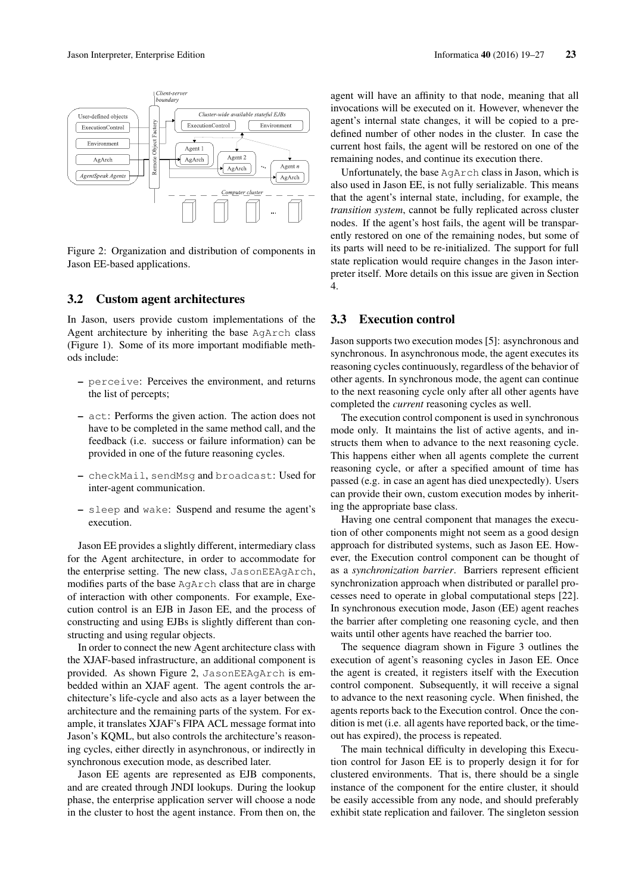

Figure 2: Organization and distribution of components in Jason EE-based applications.

#### 3.2 Custom agent architectures

In Jason, users provide custom implementations of the Agent architecture by inheriting the base AgArch class (Figure 1). Some of its more important modifiable methods include:

- perceive: Perceives the environment, and returns the list of percepts;
- act: Performs the given action. The action does not have to be completed in the same method call, and the feedback (i.e. success or failure information) can be provided in one of the future reasoning cycles.
- checkMail, sendMsg and broadcast: Used for inter-agent communication.
- sleep and wake: Suspend and resume the agent's execution.

Jason EE provides a slightly different, intermediary class for the Agent architecture, in order to accommodate for the enterprise setting. The new class, JasonEEAgArch, modifies parts of the base AgArch class that are in charge of interaction with other components. For example, Execution control is an EJB in Jason EE, and the process of constructing and using EJBs is slightly different than constructing and using regular objects.

In order to connect the new Agent architecture class with the XJAF-based infrastructure, an additional component is provided. As shown Figure 2, JasonEEAgArch is embedded within an XJAF agent. The agent controls the architecture's life-cycle and also acts as a layer between the architecture and the remaining parts of the system. For example, it translates XJAF's FIPA ACL message format into Jason's KQML, but also controls the architecture's reasoning cycles, either directly in asynchronous, or indirectly in synchronous execution mode, as described later.

Jason EE agents are represented as EJB components, and are created through JNDI lookups. During the lookup phase, the enterprise application server will choose a node in the cluster to host the agent instance. From then on, the agent will have an affinity to that node, meaning that all invocations will be executed on it. However, whenever the agent's internal state changes, it will be copied to a predefined number of other nodes in the cluster. In case the current host fails, the agent will be restored on one of the remaining nodes, and continue its execution there.

Unfortunately, the base AgArch class in Jason, which is also used in Jason EE, is not fully serializable. This means that the agent's internal state, including, for example, the *transition system*, cannot be fully replicated across cluster nodes. If the agent's host fails, the agent will be transparently restored on one of the remaining nodes, but some of its parts will need to be re-initialized. The support for full state replication would require changes in the Jason interpreter itself. More details on this issue are given in Section 4.

#### 3.3 Execution control

Jason supports two execution modes [5]: asynchronous and synchronous. In asynchronous mode, the agent executes its reasoning cycles continuously, regardless of the behavior of other agents. In synchronous mode, the agent can continue to the next reasoning cycle only after all other agents have completed the *current* reasoning cycles as well.

The execution control component is used in synchronous mode only. It maintains the list of active agents, and instructs them when to advance to the next reasoning cycle. This happens either when all agents complete the current reasoning cycle, or after a specified amount of time has passed (e.g. in case an agent has died unexpectedly). Users can provide their own, custom execution modes by inheriting the appropriate base class.

Having one central component that manages the execution of other components might not seem as a good design approach for distributed systems, such as Jason EE. However, the Execution control component can be thought of as a *synchronization barrier*. Barriers represent efficient synchronization approach when distributed or parallel processes need to operate in global computational steps [22]. In synchronous execution mode, Jason (EE) agent reaches the barrier after completing one reasoning cycle, and then waits until other agents have reached the barrier too.

The sequence diagram shown in Figure 3 outlines the execution of agent's reasoning cycles in Jason EE. Once the agent is created, it registers itself with the Execution control component. Subsequently, it will receive a signal to advance to the next reasoning cycle. When finished, the agents reports back to the Execution control. Once the condition is met (i.e. all agents have reported back, or the timeout has expired), the process is repeated.

The main technical difficulty in developing this Execution control for Jason EE is to properly design it for for clustered environments. That is, there should be a single instance of the component for the entire cluster, it should be easily accessible from any node, and should preferably exhibit state replication and failover. The singleton session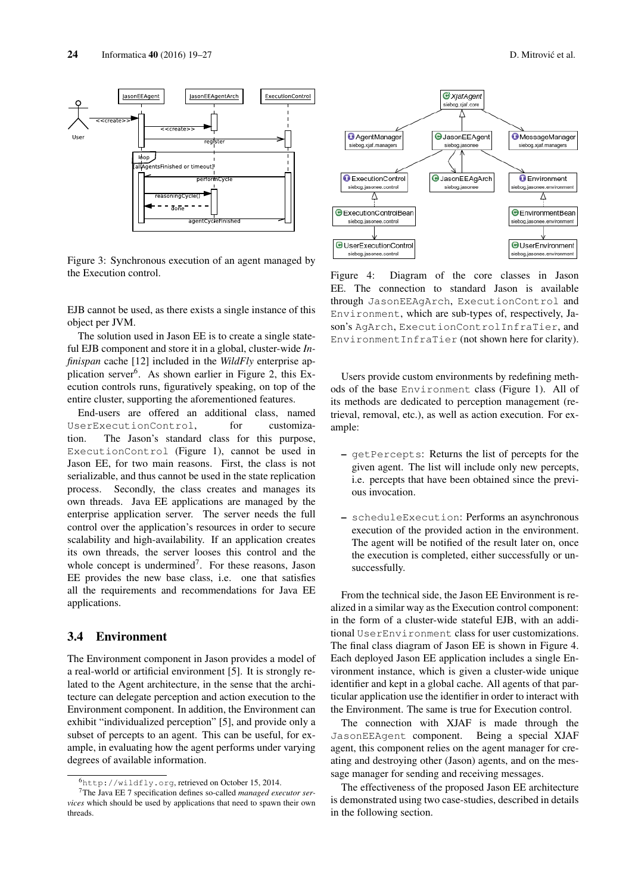



Figure 3: Synchronous execution of an agent managed by the Execution control.

EJB cannot be used, as there exists a single instance of this object per JVM.

The solution used in Jason EE is to create a single stateful EJB component and store it in a global, cluster-wide *Infinispan* cache [12] included in the *WildFly* enterprise application server<sup>6</sup>. As shown earlier in Figure 2, this Execution controls runs, figuratively speaking, on top of the entire cluster, supporting the aforementioned features.

End-users are offered an additional class, named UserExecutionControl, for customization. The Jason's standard class for this purpose, ExecutionControl (Figure 1), cannot be used in Jason EE, for two main reasons. First, the class is not serializable, and thus cannot be used in the state replication process. Secondly, the class creates and manages its own threads. Java EE applications are managed by the enterprise application server. The server needs the full control over the application's resources in order to secure scalability and high-availability. If an application creates its own threads, the server looses this control and the whole concept is undermined<sup>7</sup>. For these reasons, Jason EE provides the new base class, i.e. one that satisfies all the requirements and recommendations for Java EE applications.

#### 3.4 Environment

The Environment component in Jason provides a model of a real-world or artificial environment [5]. It is strongly related to the Agent architecture, in the sense that the architecture can delegate perception and action execution to the Environment component. In addition, the Environment can exhibit "individualized perception" [5], and provide only a subset of percepts to an agent. This can be useful, for example, in evaluating how the agent performs under varying degrees of available information.



Figure 4: Diagram of the core classes in Jason EE. The connection to standard Jason is available through JasonEEAgArch, ExecutionControl and Environment, which are sub-types of, respectively, Jason's AgArch, ExecutionControlInfraTier, and EnvironmentInfraTier (not shown here for clarity).

Users provide custom environments by redefining methods of the base Environment class (Figure 1). All of its methods are dedicated to perception management (retrieval, removal, etc.), as well as action execution. For example:

- getPercepts: Returns the list of percepts for the given agent. The list will include only new percepts, i.e. percepts that have been obtained since the previous invocation.
- scheduleExecution: Performs an asynchronous execution of the provided action in the environment. The agent will be notified of the result later on, once the execution is completed, either successfully or unsuccessfully.

From the technical side, the Jason EE Environment is realized in a similar way as the Execution control component: in the form of a cluster-wide stateful EJB, with an additional UserEnvironment class for user customizations. The final class diagram of Jason EE is shown in Figure 4. Each deployed Jason EE application includes a single Environment instance, which is given a cluster-wide unique identifier and kept in a global cache. All agents of that particular application use the identifier in order to interact with the Environment. The same is true for Execution control.

The connection with XJAF is made through the JasonEEAgent component. Being a special XJAF agent, this component relies on the agent manager for creating and destroying other (Jason) agents, and on the message manager for sending and receiving messages.

The effectiveness of the proposed Jason EE architecture is demonstrated using two case-studies, described in details in the following section.

<sup>6</sup>http://wildfly.org, retrieved on October 15, 2014.

<sup>7</sup>The Java EE 7 specification defines so-called *managed executor services* which should be used by applications that need to spawn their own threads.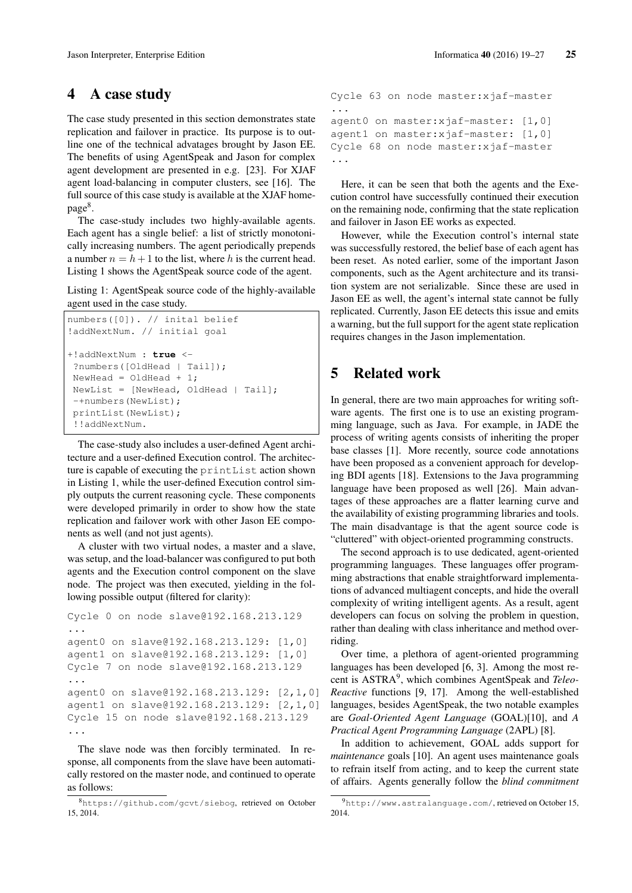## 4 A case study

The case study presented in this section demonstrates state replication and failover in practice. Its purpose is to outline one of the technical advatages brought by Jason EE. The benefits of using AgentSpeak and Jason for complex agent development are presented in e.g. [23]. For XJAF agent load-balancing in computer clusters, see [16]. The full source of this case study is available at the XJAF home $page^8$ .

The case-study includes two highly-available agents. Each agent has a single belief: a list of strictly monotonically increasing numbers. The agent periodically prepends a number  $n = h + 1$  to the list, where h is the current head. Listing 1 shows the AgentSpeak source code of the agent.

Listing 1: AgentSpeak source code of the highly-available agent used in the case study.

```
numbers([0]). // inital belief
!addNextNum. // initial goal
+!addNextNum : true <-
?numbers([OldHead | Tail]);
NewHead = 0ldHead + 1;
NewList = [NewHead, OldHead | Tail];
-+numbers(NewList);
printList(NewList);
 !!addNextNum.
```
The case-study also includes a user-defined Agent architecture and a user-defined Execution control. The architecture is capable of executing the printList action shown in Listing 1, while the user-defined Execution control simply outputs the current reasoning cycle. These components were developed primarily in order to show how the state replication and failover work with other Jason EE components as well (and not just agents).

A cluster with two virtual nodes, a master and a slave, was setup, and the load-balancer was configured to put both agents and the Execution control component on the slave node. The project was then executed, yielding in the following possible output (filtered for clarity):

```
Cycle 0 on node slave@192.168.213.129
...
agent0 on slave@192.168.213.129: [1,0]
agent1 on slave@192.168.213.129: [1,0]
Cycle 7 on node slave@192.168.213.129
...
agent0 on slave@192.168.213.129: [2,1,0]
agent1 on slave@192.168.213.129: [2,1,0]
Cycle 15 on node slave@192.168.213.129
...
```
The slave node was then forcibly terminated. In response, all components from the slave have been automatically restored on the master node, and continued to operate as follows:

```
Cycle 63 on node master: xjaf-master
...
agent0 on master:xjaf-master: [1,0]
agent1 on master:xjaf-master: [1,0]
Cycle 68 on node master: xjaf-master
...
```
Here, it can be seen that both the agents and the Execution control have successfully continued their execution on the remaining node, confirming that the state replication and failover in Jason EE works as expected.

However, while the Execution control's internal state was successfully restored, the belief base of each agent has been reset. As noted earlier, some of the important Jason components, such as the Agent architecture and its transition system are not serializable. Since these are used in Jason EE as well, the agent's internal state cannot be fully replicated. Currently, Jason EE detects this issue and emits a warning, but the full support for the agent state replication requires changes in the Jason implementation.

# 5 Related work

In general, there are two main approaches for writing software agents. The first one is to use an existing programming language, such as Java. For example, in JADE the process of writing agents consists of inheriting the proper base classes [1]. More recently, source code annotations have been proposed as a convenient approach for developing BDI agents [18]. Extensions to the Java programming language have been proposed as well [26]. Main advantages of these approaches are a flatter learning curve and the availability of existing programming libraries and tools. The main disadvantage is that the agent source code is "cluttered" with object-oriented programming constructs.

The second approach is to use dedicated, agent-oriented programming languages. These languages offer programming abstractions that enable straightforward implementations of advanced multiagent concepts, and hide the overall complexity of writing intelligent agents. As a result, agent developers can focus on solving the problem in question, rather than dealing with class inheritance and method overriding.

Over time, a plethora of agent-oriented programming languages has been developed [6, 3]. Among the most recent is ASTRA<sup>9</sup> , which combines AgentSpeak and *Teleo-Reactive* functions [9, 17]. Among the well-established languages, besides AgentSpeak, the two notable examples are *Goal-Oriented Agent Language* (GOAL)[10], and *A Practical Agent Programming Language* (2APL) [8].

In addition to achievement, GOAL adds support for *maintenance* goals [10]. An agent uses maintenance goals to refrain itself from acting, and to keep the current state of affairs. Agents generally follow the *blind commitment*

<sup>8</sup>https://github.com/gcvt/siebog, retrieved on October 15, 2014.

<sup>9</sup>http://www.astralanguage.com/, retrieved on October 15, 2014.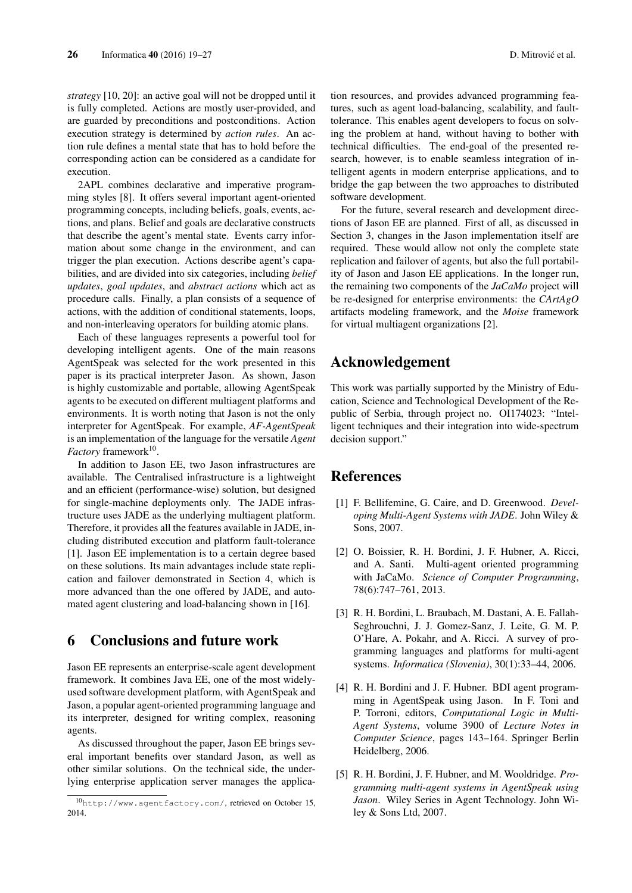*strategy* [10, 20]: an active goal will not be dropped until it is fully completed. Actions are mostly user-provided, and are guarded by preconditions and postconditions. Action execution strategy is determined by *action rules*. An action rule defines a mental state that has to hold before the corresponding action can be considered as a candidate for execution.

2APL combines declarative and imperative programming styles [8]. It offers several important agent-oriented programming concepts, including beliefs, goals, events, actions, and plans. Belief and goals are declarative constructs that describe the agent's mental state. Events carry information about some change in the environment, and can trigger the plan execution. Actions describe agent's capabilities, and are divided into six categories, including *belief updates*, *goal updates*, and *abstract actions* which act as procedure calls. Finally, a plan consists of a sequence of actions, with the addition of conditional statements, loops, and non-interleaving operators for building atomic plans.

Each of these languages represents a powerful tool for developing intelligent agents. One of the main reasons AgentSpeak was selected for the work presented in this paper is its practical interpreter Jason. As shown, Jason is highly customizable and portable, allowing AgentSpeak agents to be executed on different multiagent platforms and environments. It is worth noting that Jason is not the only interpreter for AgentSpeak. For example, *AF-AgentSpeak* is an implementation of the language for the versatile *Agent Factory* framework<sup>10</sup>.

In addition to Jason EE, two Jason infrastructures are available. The Centralised infrastructure is a lightweight and an efficient (performance-wise) solution, but designed for single-machine deployments only. The JADE infrastructure uses JADE as the underlying multiagent platform. Therefore, it provides all the features available in JADE, including distributed execution and platform fault-tolerance [1]. Jason EE implementation is to a certain degree based on these solutions. Its main advantages include state replication and failover demonstrated in Section 4, which is more advanced than the one offered by JADE, and automated agent clustering and load-balancing shown in [16].

### 6 Conclusions and future work

Jason EE represents an enterprise-scale agent development framework. It combines Java EE, one of the most widelyused software development platform, with AgentSpeak and Jason, a popular agent-oriented programming language and its interpreter, designed for writing complex, reasoning agents.

As discussed throughout the paper, Jason EE brings several important benefits over standard Jason, as well as other similar solutions. On the technical side, the underlying enterprise application server manages the application resources, and provides advanced programming features, such as agent load-balancing, scalability, and faulttolerance. This enables agent developers to focus on solving the problem at hand, without having to bother with technical difficulties. The end-goal of the presented research, however, is to enable seamless integration of intelligent agents in modern enterprise applications, and to bridge the gap between the two approaches to distributed software development.

For the future, several research and development directions of Jason EE are planned. First of all, as discussed in Section 3, changes in the Jason implementation itself are required. These would allow not only the complete state replication and failover of agents, but also the full portability of Jason and Jason EE applications. In the longer run, the remaining two components of the *JaCaMo* project will be re-designed for enterprise environments: the *CArtAgO* artifacts modeling framework, and the *Moise* framework for virtual multiagent organizations [2].

# Acknowledgement

This work was partially supported by the Ministry of Education, Science and Technological Development of the Republic of Serbia, through project no. OI174023: "Intelligent techniques and their integration into wide-spectrum decision support."

# References

- [1] F. Bellifemine, G. Caire, and D. Greenwood. *Developing Multi-Agent Systems with JADE*. John Wiley & Sons, 2007.
- [2] O. Boissier, R. H. Bordini, J. F. Hubner, A. Ricci, and A. Santi. Multi-agent oriented programming with JaCaMo. *Science of Computer Programming*, 78(6):747–761, 2013.
- [3] R. H. Bordini, L. Braubach, M. Dastani, A. E. Fallah-Seghrouchni, J. J. Gomez-Sanz, J. Leite, G. M. P. O'Hare, A. Pokahr, and A. Ricci. A survey of programming languages and platforms for multi-agent systems. *Informatica (Slovenia)*, 30(1):33–44, 2006.
- [4] R. H. Bordini and J. F. Hubner. BDI agent programming in AgentSpeak using Jason. In F. Toni and P. Torroni, editors, *Computational Logic in Multi-Agent Systems*, volume 3900 of *Lecture Notes in Computer Science*, pages 143–164. Springer Berlin Heidelberg, 2006.
- [5] R. H. Bordini, J. F. Hubner, and M. Wooldridge. *Programming multi-agent systems in AgentSpeak using Jason*. Wiley Series in Agent Technology. John Wiley & Sons Ltd, 2007.

<sup>10</sup>http://www.agentfactory.com/, retrieved on October 15, 2014.